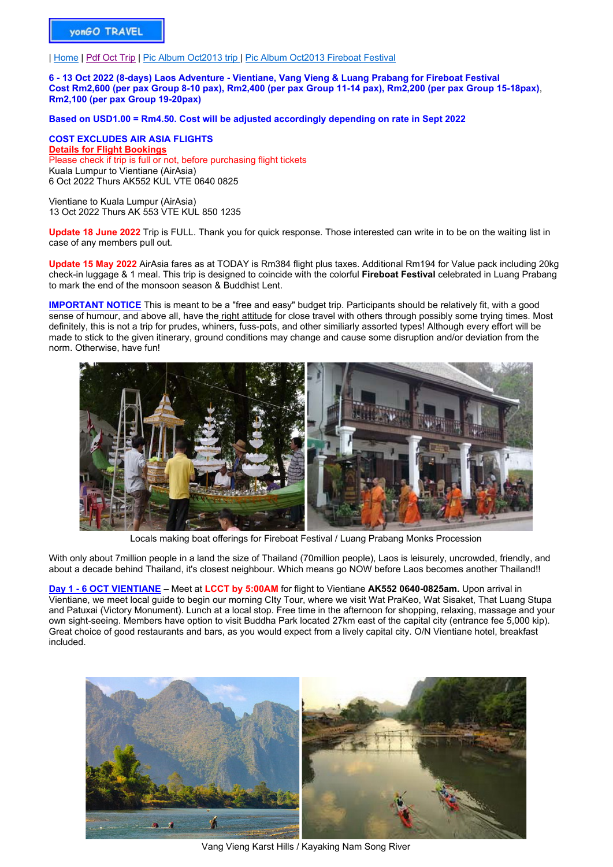| Home | Pdf Oct Trip | Pic Album Oct2013 trip | Pic Album Oct2013 Fireboat Festival

**6 - 13 Oct 2022 (8-days) Laos Adventure - Vientiane, Vang Vieng & Luang Prabang for Fireboat Festival Cost Rm2,600 (per pax Group 8-10 pax), Rm2,400 (per pax Group 11-14 pax), Rm2,200 (per pax Group 15-18pax)**, **Rm2,100 (per pax Group 19-20pax)**

**Based on USD1.00 = Rm4.50. Cost will be adjusted accordingly depending on rate in Sept 2022**

**COST EXCLUDES AIR ASIA FLIGHTS Details for Flight Bookings** Please check if trip is full or not, before purchasing flight tickets Kuala Lumpur to Vientiane (AirAsia) 6 Oct 2022 Thurs AK552 KUL VTE 0640 0825

Vientiane to Kuala Lumpur (AirAsia) 13 Oct 2022 Thurs AK 553 VTE KUL 850 1235

**Update 18 June 2022** Trip is FULL. Thank you for quick response. Those interested can write in to be on the waiting list in case of any members pull out.

**Update 15 May 2022** AirAsia fares as at TODAY is Rm384 flight plus taxes. Additional Rm194 for Value pack including 20kg check-in luggage & 1 meal. This trip is designed to coincide with the colorful **Fireboat Festival** celebrated in Luang Prabang to mark the end of the monsoon season & Buddhist Lent.

**IMPORTANT NOTICE** This is meant to be a "free and easy" budget trip. Participants should be relatively fit, with a good sense of humour, and above all, have the right attitude for close travel with others through possibly some trying times. Most definitely, this is not a trip for prudes, whiners, fuss-pots, and other similiarly assorted types! Although every effort will be made to stick to the given itinerary, ground conditions may change and cause some disruption and/or deviation from the norm. Otherwise, have fun!



Locals making boat offerings for Fireboat Festival / Luang Prabang Monks Procession

With only about 7million people in a land the size of Thailand (70million people), Laos is leisurely, uncrowded, friendly, and about a decade behind Thailand, it's closest neighbour. Which means go NOW before Laos becomes another Thailand!!

**Day 1 - 6 OCT VIENTIANE –** Meet at **LCCT by 5:00AM** for flight to Vientiane **AK552 0640-0825am.** Upon arrival in Vientiane, we meet local guide to begin our morning CIty Tour, where we visit Wat PraKeo, Wat Sisaket, That Luang Stupa and Patuxai (Victory Monument). Lunch at a local stop. Free time in the afternoon for shopping, relaxing, massage and your own sight-seeing. Members have option to visit Buddha Park located 27km east of the capital city (entrance fee 5,000 kip). Great choice of good restaurants and bars, as you would expect from a lively capital city. O/N Vientiane hotel, breakfast included.



Vang Vieng Karst Hills / Kayaking Nam Song River